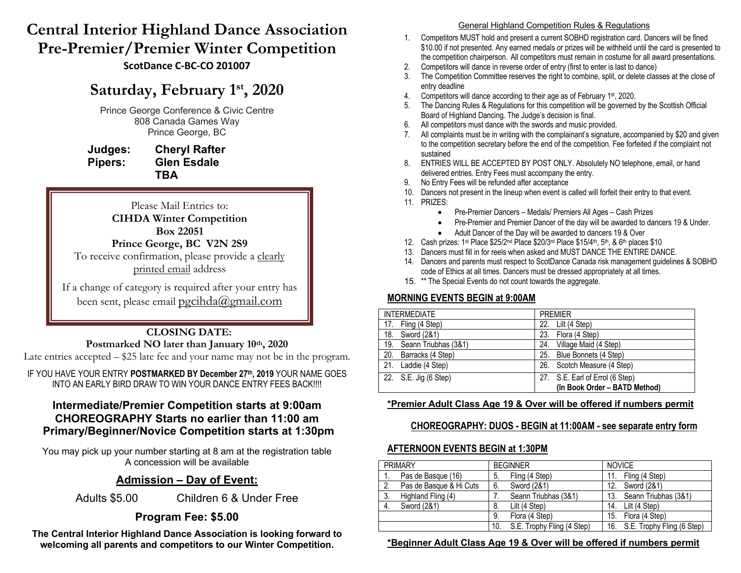# **Central Interior Highland Dance Association Pre-Premier/Premier Winter Competition ScotDance C-BC-CO 201007**

# **Saturday, February 1st, 2020**

Prince George Conference & Civic Centre 808 Canada Games Way Prince George, BC

**Judges: Cheryl Rafter Pipers: Glen Esdale TBA**

Please Mail Entries to: **CIHDA Winter Competition Box 22051 Prince George, BC V2N 2S9**

To receive confirmation, please provide a clearly printed email address

If a change of category is required after your entry has been sent, please email pgcihda@gmail.com

## **CLOSING DATE:** Postmarked NO later than January 10<sup>th</sup>, 2020

Late entries accepted – \$25 late fee and your name may not be in the program.

IF YOU HAVE YOUR ENTRY **POSTMARKED BY December 27th, 2019** YOUR NAME GOES INTO AN EARLY BIRD DRAW TO WIN YOUR DANCE ENTRY FEES BACK!!!!

# **Intermediate/Premier Competition starts at 9:00am CHOREOGRAPHY Starts no earlier than 11:00 am Primary/Beginner/Novice Competition starts at 1:30pm**

You may pick up your number starting at 8 am at the registration table A concession will be available

# **Admission – Day of Event:**

Adults \$5.00 Children 6 & Under Free

# **Program Fee: \$5.00**

**The Central Interior Highland Dance Association is looking forward to welcoming all parents and competitors to our Winter Competition.**

#### General Highland Competition Rules & Regulations

- 1. Competitors MUST hold and present a current SOBHD registration card. Dancers will be fined \$10.00 if not presented. Any earned medals or prizes will be withheld until the card is presented to the competition chairperson. All competitors must remain in costume for all award presentations.
- 2. Competitors will dance in reverse order of entry (first to enter is last to dance)
- 3. The Competition Committee reserves the right to combine, split, or delete classes at the close of entry deadline
- 4. Competitors will dance according to their age as of February 1st, 2020.
- 5. The Dancing Rules & Regulations for this competition will be governed by the Scottish Official Board of Highland Dancing. The Judge's decision is final.
- 6. All competitors must dance with the swords and music provided.
- 7. All complaints must be in writing with the complainant's signature, accompanied by \$20 and given to the competition secretary before the end of the competition. Fee forfeited if the complaint not sustained
- 8. ENTRIES WILL BE ACCEPTED BY POST ONLY. Absolutely NO telephone, email, or hand delivered entries. Entry Fees must accompany the entry.
- 9. No Entry Fees will be refunded after acceptance
- 10. Dancers not present in the lineup when event is called will forfeit their entry to that event.
- 11. PRIZES:
	- Pre-Premier Dancers Medals/ Premiers All Ages Cash Prizes
	- Pre-Premier and Premier Dancer of the day will be awarded to dancers 19 & Under.
	- Adult Dancer of the Day will be awarded to dancers 19 & Over
- 12. Cash prizes:  $1^{st}$  Place  $$25/2^{nd}$  Place  $$20/3^{rd}$  Place  $$15/4^{th}$ ,  $5^{th}$ , &  $6^{th}$  places  $$10$
- 13. Dancers must fill in for reels when asked and MUST DANCE THE ENTIRE DANCE.
- 14. Dancers and parents must respect to ScotDance Canada risk management guidelines & SOBHD code of Ethics at all times. Dancers must be dressed appropriately at all times.
- 15. \*\* The Special Events do not count towards the aggregate.

# **MORNING EVENTS BEGIN at 9:00AM**

| <b>INTERMEDIATE</b>         | <b>PRFMIFR</b>                  |
|-----------------------------|---------------------------------|
| 17. Fling (4 Step)          | Lilt (4 Step)<br>22.            |
| 18.<br>Sword (2&1)          | Flora (4 Step)<br>23.           |
| 19.<br>Seann Triubhas (3&1) | Village Maid (4 Step)<br>24.    |
| Barracks (4 Step)<br>20.    | Blue Bonnets (4 Step)<br>25.    |
| 21.<br>Laddie (4 Step)      | 26. Scotch Measure (4 Step)     |
| 22. S.E. Jig (6 Step)       | 27. S.E. Earl of Errol (6 Step) |
|                             | (In Book Order - BATD Method)   |

## **\*Premier Adult Class Age 19 & Over will be offered if numbers permit**

## **CHOREOGRAPHY: DUOS - BEGIN at 11:00AM - see separate entry form**

## **AFTERNOON EVENTS BEGIN at 1:30PM**

| <b>PRIMARY</b> |                         | <b>BEGINNER</b> |                            | <b>NOVICE</b> |                                |
|----------------|-------------------------|-----------------|----------------------------|---------------|--------------------------------|
|                | Pas de Basque (16)      | -5.             | Fling (4 Step)             | 11.           | Fling (4 Step)                 |
| 2.             | Pas de Basque & Hi Cuts | 6.              | Sword (2&1)                | 12.           | Sword (2&1)                    |
| 3.             | Highland Fling (4)      |                 | Seann Triubhas (3&1)       | 13.           | Seann Triubhas (3&1)           |
| 4.             | Sword (2&1)             | 8.              | Lilt (4 Step)              | 14.           | Lilt (4 Step)                  |
|                |                         | 9.              | Flora (4 Step)             | 15.           | Flora (4 Step)                 |
|                |                         | 10.             | S.E. Trophy Fling (4 Step) |               | 16. S.E. Trophy Fling (6 Step) |

#### **\*Beginner Adult Class Age 19 & Over will be offered if numbers permit**